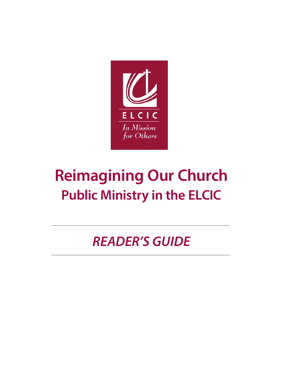

# **Reimagining Our Church Public Ministry in the ELCIC**

*READER'S GUIDE*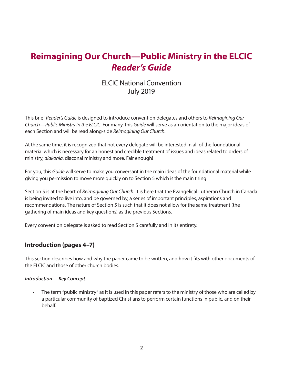# **Reimagining Our Church—Public Ministry in the ELCIC** *Reader's Guide*

# ELCIC National Convention July 2019

This brief *Reader's Guide* is designed to introduce convention delegates and others to *Reimagining Our Church—Public Ministry in the ELCIC*. For many, this *Guide* will serve as an orientation to the major ideas of each Section and will be read along-side *Reimagining Our Church*.

At the same time, it is recognized that not every delegate will be interested in all of the foundational material which is necessary for an honest and credible treatment of issues and ideas related to orders of ministry, *diakonia*, diaconal ministry and more. Fair enough!

For you, this *Guide* will serve to make you conversant in the main ideas of the foundational material while giving you permission to move more quickly on to Section 5 which is the main thing.

Section 5 is at the heart of *Reimagining Our Church*. It is here that the Evangelical Lutheran Church in Canada is being invited to live into, and be governed by, a series of important principles, aspirations and recommendations. The nature of Section 5 is such that it does not allow for the same treatment (the gathering of main ideas and key questions) as the previous Sections.

Every convention delegate is asked to read Section 5 carefully and in its entirety.

#### **Introduction (pages 4–7)**

This section describes how and why the paper came to be written, and how it fits with other documents of the ELCIC and those of other church bodies.

#### *Introduction— Key Concept*

The term "public ministry" as it is used in this paper refers to the ministry of those who are called by a particular community of baptized Christians to perform certain functions in public, and on their behalf.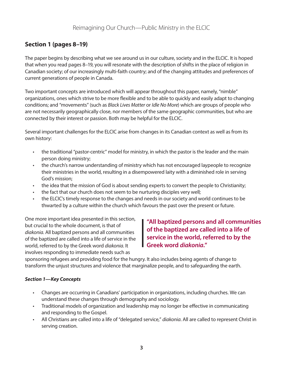# **Section 1 (pages 8–19)**

The paper begins by describing what we see around us in our culture, society and in the ELCIC. It is hoped that when you read pages 8–19, you will resonate with the description of shifts in the place of religion in Canadian society; of our increasingly multi-faith country; and of the changing attitudes and preferences of current generations of people in Canada.

Two important concepts are introduced which will appear throughout this paper, namely, "nimble" organizations, ones which strive to be more flexible and to be able to quickly and easily adapt to changing conditions; and "movements" (such as *Black Lives Matter* or *Idle No More*) which are groups of people who are not necessarily geographically close, nor members of the same geographic communities, but who are connected by their interest or passion. Both may be helpful for the ELCIC.

Several important challenges for the ELCIC arise from changes in its Canadian context as well as from its own history:

- the traditional "pastor-centric" model for ministry, in which the pastor is the leader and the main person doing ministry;
- the church's narrow understanding of ministry which has not encouraged laypeople to recognize their ministries in the world, resulting in a disempowered laity with a diminished role in serving God's mission;
- the idea that the mission of God is about sending experts to convert the people to Christianity;
- the fact that our church does not seem to be nurturing disciples very well;
- the ELCIC's timely response to the changes and needs in our society and world continues to be thwarted by a culture within the church which favours the past over the present or future.

One more important idea presented in this section, but crucial to the whole document, is that of *diakonia*. All baptized persons and all communities of the baptized are called into a life of service in the world, referred to by the Greek word *diakonia*. It involves responding to immediate needs such as

**"All baptized persons and all communities of the baptized are called into a life of service in the world, referred to by the Greek word** *diakonia***."**

sponsoring refugees and providing food for the hungry. It also includes being agents of change to transform the unjust structures and violence that marginalize people, and to safeguarding the earth.

#### *Section 1—Key Concepts*

- Changes are occurring in Canadians' participation in organizations, including churches. We can understand these changes through demography and sociology.
- Traditional models of organization and leadership may no longer be effective in communicating and responding to the Gospel.
- All Christians are called into a life of "delegated service," *diakonia*. All are called to represent Christ in serving creation.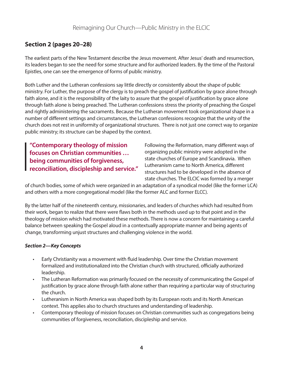# **Section 2 (pages 20–28)**

The earliest parts of the New Testament describe the Jesus movement. After Jesus' death and resurrection, its leaders began to see the need for some structure and for authorized leaders. By the time of the Pastoral Epistles, one can see the emergence of forms of public ministry.

Both Luther and the Lutheran confessions say little directly or consistently about the shape of public ministry. For Luther, the purpose of the clergy is to preach the gospel of justification by grace alone through faith alone, and it is the responsibility of the laity to assure that the gospel of justification by grace alone through faith alone is being preached. The Lutheran confessions stress the priority of preaching the Gospel and rightly administering the sacraments. Because the Lutheran movement took organizational shape in a number of different settings and circumstances, the Lutheran confessions recognize that the unity of the church does not rest in uniformity of organizational structures. There is not just one correct way to organize public ministry; its structure can be shaped by the context.

**"Contemporary theology of mission focuses on Christian communities … being communities of forgiveness, reconciliation, discipleship and service."** Following the Reformation, many different ways of organizing public ministry were adopted in the state churches of Europe and Scandinavia. When Lutheranism came to North America, different structures had to be developed in the absence of state churches. The ELCIC was formed by a merger

of church bodies, some of which were organized in an adaptation of a synodical model (like the former LCA) and others with a more congregational model (like the former ALC and former ELCC).

By the latter half of the nineteenth century, missionaries, and leaders of churches which had resulted from their work, began to realize that there were flaws both in the methods used up to that point and in the theology of mission which had motivated these methods. There is now a concern for maintaining a careful balance between speaking the Gospel aloud in a contextually appropriate manner and being agents of change, transforming unjust structures and challenging violence in the world.

#### *Section 2—Key Concepts*

- Early Christianity was a movement with fluid leadership. Over time the Christian movement formalized and institutionalized into the Christian church with structured, officially authorized leadership.
- The Lutheran Reformation was primarily focused on the necessity of communicating the Gospel of justification by grace alone through faith alone rather than requiring a particular way of structuring the church.
- Lutheranism in North America was shaped both by its European roots and its North American context. This applies also to church structures and understanding of leadership.
- Contemporary theology of mission focuses on Christian communities such as congregations being communities of forgiveness, reconciliation, discipleship and service.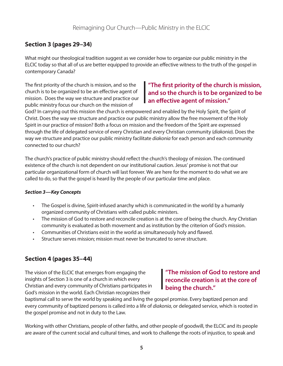# **Section 3 (pages 29–34)**

What might our theological tradition suggest as we consider how to organize our public ministry in the ELCIC today so that all of us are better equipped to provide an effective witness to the truth of the gospel in contemporary Canada?

The first priority of the church is mission, and so the church is to be organized to be an effective agent of mission. Does the way we structure and practice our public ministry focus our church on the mission of

# **"The first priority of the church is mission, and so the church is to be organized to be an effective agent of mission."**

God? In carrying out this mission the church is empowered and enabled by the Holy Spirit, the Spirit of Christ. Does the way we structure and practice our public ministry allow the free movement of the Holy Spirit in our practice of mission? Both a focus on mission and the freedom of the Spirit are expressed through the life of delegated service of every Christian and every Christian community (*diakonia*). Does the way we structure and practice our public ministry facilitate *diakonia* for each person and each community connected to our church?

The church's practice of public ministry should reflect the church's theology of mission. The continued existence of the church is not dependent on our institutional caution. Jesus' promise is not that our particular organizational form of church will last forever. We are here for the moment to do what we are called to do, so that the gospel is heard by the people of our particular time and place.

#### *Section 3—Key Concepts*

- The Gospel is divine, Spirit-infused anarchy which is communicated in the world by a humanly organized community of Christians with called public ministers.
- The mission of God to restore and reconcile creation is at the core of being the church. Any Christian community is evaluated as both movement and as institution by the criterion of God's mission.
- Communities of Christians exist in the world as simultaneously holy and flawed.
- Structure serves mission; mission must never be truncated to serve structure.

### **Section 4 (pages 35–44)**

The vision of the ELCIC that emerges from engaging the insights of Section 3 is one of a church in which every Christian and every community of Christians participates in God's mission in the world. Each Christian recognizes their

## **"The mission of God to restore and reconcile creation is at the core of being the church."**

baptismal call to serve the world by speaking and living the gospel promise. Every baptized person and every community of baptized persons is called into a life of *diakonia*, or delegated service, which is rooted in the gospel promise and not in duty to the Law.

Working with other Christians, people of other faiths, and other people of goodwill, the ELCIC and its people are aware of the current social and cultural times, and work to challenge the roots of injustice, to speak and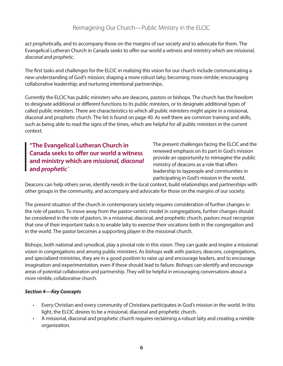act prophetically, and to accompany those on the margins of our society and to advocate for them. The Evangelical Lutheran Church in Canada seeks to offer our world a witness and ministry which are *missional, diaconal* and *prophetic*.

The first tasks and challenges for the ELCIC in realizing this vision for our church include communicating a new understanding of God's mission; shaping a more robust laity; becoming more nimble; encouraging collaborative leadership; and nurturing intentional partnerships.

Currently the ELCIC has public ministers who are deacons, pastors or bishops. The church has the freedom to designate additional or different functions to its public ministers, or to designate additional types of called public ministers. There are characteristics to which all public ministers might aspire in a missional, diaconal and prophetic church. The list is found on page 40. As well there are common training and skills, such as being able to read the signs of the times, which are helpful for all public ministers in the current context.

**"The Evangelical Lutheran Church in Canada seeks to offer our world a witness and ministry which are** *missional, diaconal* **and** *prophetic."*

The present challenges facing the ELCIC and the renewed emphasis on its part in God's mission provide an opportunity to reimagine the public ministry of deacons as a role that offers leadership to laypeople and communities in participating in God's mission in the world.

Deacons can help others serve, identify needs in the local context, build relationships and partnerships with other groups in the community, and accompany and advocate for those on the margins of our society.

The present situation of the church in contemporary society requires consideration of further changes in the role of pastors. To move away from the pastor-centric model in congregations, further changes should be considered in the role of pastors. In a missional, diaconal, and prophetic church, pastors must recognize that one of their important tasks is to enable laity to exercise their vocations both in the congregation and in the world. The pastor becomes a supporting player in the missional church.

Bishops, both national and synodical, play a pivotal role in this vision. They can guide and inspire a missional vision in congregations and among public ministers. As bishops walk with pastors, deacons, congregations, and specialized ministries, they are in a good position to raise up and encourage leaders, and to encourage imagination and experimentation, even if these should lead to failure. Bishops can identify and encourage areas of potential collaboration and partnership. They will be helpful in encouraging conversations about a more nimble, collaborative church.

#### *Section 4—Key Concepts*

- Every Christian and every community of Christians participates in God's mission in the world. In this light, the ELCIC desires to be a missional, diaconal and prophetic church.
- A missional, diaconal and prophetic church requires reclaiming a robust laity and creating a nimble organization.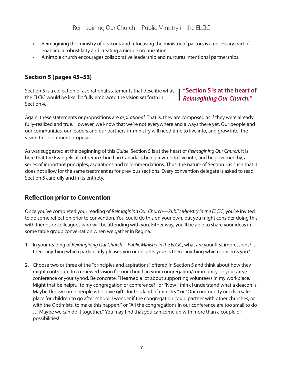- Reimagining the ministry of deacons and refocusing the ministry of pastors is a necessary part of enabling a robust laity and creating a nimble organization.
- A nimble church encourages collaborative leadership and nurtures intentional partnerships.

# **Section 5 (pages 45–53)**

Section 5 is a collection of aspirational statements that describe what the ELCIC would be like if it fully embraced the vision set forth in Section 4.

**"Section 5 is at the heart of**  *Reimagining Our Church."*

Again, these statements or propositions are *aspirational*. That is, they are composed as if they were already fully-realized and true. However, we know that we're not everywhere and always there yet. Our people and our communities, our leaders and our partners-in-ministry will need time to live into, and grow into, the vision this document proposes.

As was suggested at the beginning of this *Guide*, Section 5 is at the heart of *Reimagining Our Church*. It is here that the Evangelical Lutheran Church in Canada is being invited to live into, and be governed by, a series of important principles, aspirations and recommendations. Thus, the nature of Section 5 is such that it does not allow for the same treatment as for previous sections. Every convention delegate is asked to read Section 5 carefully and in its entirety.

# **Reflection prior to Convention**

Once you've completed your reading of *Reimagining Our Church—Public Ministry in the ELCIC*, you're invited to do some reflection prior to convention. You could do this on your own, but you might consider doing this with friends or colleagues who will be attending with you. Either way, you'll be able to share your ideas in some table group conversation when we gather in Regina.

- 1. In your reading of *Reimagining Our Church—Public Ministry in the ELCIC*, what are your first impressions? Is there anything which particularly pleases you or delights you? Is there anything which concerns you?
- 2. Choose two or three of the "principles and aspirations" offered in Section 5 and think about how they might contribute to a renewed vision for our church in your congregation/community, or your area/ conference or your synod. Be concrete: "I learned a lot about supporting volunteers in my workplace. Might that be helpful to my congregation or conference?" or "Now I think I understand what a deacon is. Maybe I know some people who have gifts for this kind of ministry." or "Our community needs a safe place for children to go after school. I wonder if the congregation could partner with other churches, or with the Optimists, to make this happen." or "All the congregations in our conference are too small to do … Maybe we can do it together." You may find that you can come up with more than a couple of possibilities!